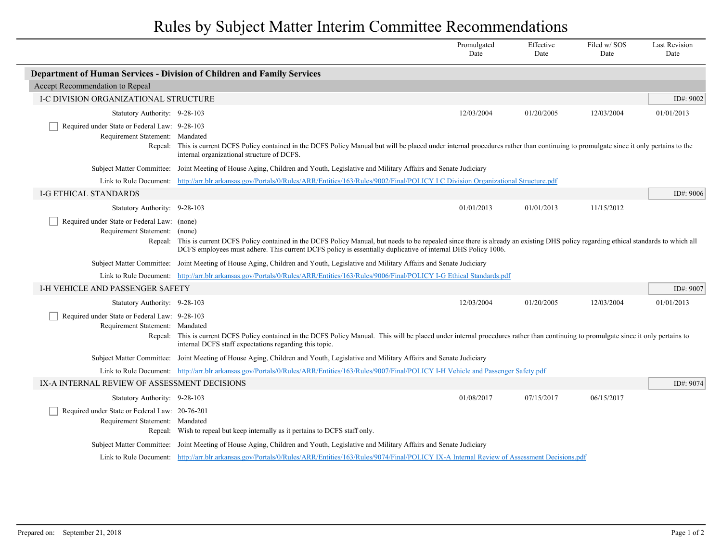## Rules by Subject Matter Interim Committee Recommendations

|                                                                                             |                                                                                                                                                                                                                                                                                                  | Promulgated<br>Date | Effective<br>Date | Filed w/SOS<br>Date | <b>Last Revision</b><br>Date |  |  |
|---------------------------------------------------------------------------------------------|--------------------------------------------------------------------------------------------------------------------------------------------------------------------------------------------------------------------------------------------------------------------------------------------------|---------------------|-------------------|---------------------|------------------------------|--|--|
|                                                                                             | Department of Human Services - Division of Children and Family Services                                                                                                                                                                                                                          |                     |                   |                     |                              |  |  |
| Accept Recommendation to Repeal                                                             |                                                                                                                                                                                                                                                                                                  |                     |                   |                     |                              |  |  |
| I-C DIVISION ORGANIZATIONAL STRUCTURE                                                       |                                                                                                                                                                                                                                                                                                  |                     |                   |                     | ID#: 9002                    |  |  |
| Statutory Authority: 9-28-103                                                               |                                                                                                                                                                                                                                                                                                  | 12/03/2004          | 01/20/2005        | 12/03/2004          | 01/01/2013                   |  |  |
| Required under State or Federal Law: 9-28-103<br>Requirement Statement: Mandated            | Repeal: This is current DCFS Policy contained in the DCFS Policy Manual but will be placed under internal procedures rather than continuing to promulgate since it only pertains to the<br>internal organizational structure of DCFS.                                                            |                     |                   |                     |                              |  |  |
|                                                                                             | Subject Matter Committee: Joint Meeting of House Aging, Children and Youth, Legislative and Military Affairs and Senate Judiciary                                                                                                                                                                |                     |                   |                     |                              |  |  |
|                                                                                             | Link to Rule Document: http://arr.blr.arkansas.gov/Portals/0/Rules/ARR/Entities/163/Rules/9002/Final/POLICY I C Division Organizational Structure.pdf                                                                                                                                            |                     |                   |                     |                              |  |  |
| <b>I-G ETHICAL STANDARDS</b>                                                                |                                                                                                                                                                                                                                                                                                  |                     |                   |                     | ID#: 9006                    |  |  |
| Statutory Authority: 9-28-103                                                               |                                                                                                                                                                                                                                                                                                  | 01/01/2013          | 01/01/2013        | 11/15/2012          |                              |  |  |
| Required under State or Federal Law: (none)<br>Requirement Statement: (none)<br>Repeal:     | This is current DCFS Policy contained in the DCFS Policy Manual, but needs to be repealed since there is already an existing DHS policy regarding ethical standards to which all<br>DCFS employees must adhere. This current DCFS policy is essentially duplicative of internal DHS Policy 1006. |                     |                   |                     |                              |  |  |
|                                                                                             | Subject Matter Committee: Joint Meeting of House Aging, Children and Youth, Legislative and Military Affairs and Senate Judiciary                                                                                                                                                                |                     |                   |                     |                              |  |  |
|                                                                                             | Link to Rule Document: http://arr.blr.arkansas.gov/Portals/0/Rules/ARR/Entities/163/Rules/9006/Final/POLICY I-G Ethical Standards.pdf                                                                                                                                                            |                     |                   |                     |                              |  |  |
| I-H VEHICLE AND PASSENGER SAFETY                                                            |                                                                                                                                                                                                                                                                                                  |                     |                   |                     | ID#: 9007                    |  |  |
| Statutory Authority: 9-28-103                                                               |                                                                                                                                                                                                                                                                                                  | 12/03/2004          | 01/20/2005        | 12/03/2004          | 01/01/2013                   |  |  |
| Required under State or Federal Law: 9-28-103<br>Requirement Statement: Mandated<br>Repeal: | This is current DCFS Policy contained in the DCFS Policy Manual. This will be placed under internal procedures rather than continuing to promulgate since it only pertains to<br>internal DCFS staff expectations regarding this topic.                                                          |                     |                   |                     |                              |  |  |
|                                                                                             | Subject Matter Committee: Joint Meeting of House Aging, Children and Youth, Legislative and Military Affairs and Senate Judiciary                                                                                                                                                                |                     |                   |                     |                              |  |  |
|                                                                                             | Link to Rule Document: http://arr.blr.arkansas.gov/Portals/0/Rules/ARR/Entities/163/Rules/9007/Final/POLICY 1-H Vehicle and Passenger Safety.pdf                                                                                                                                                 |                     |                   |                     |                              |  |  |
| IX-A INTERNAL REVIEW OF ASSESSMENT DECISIONS                                                |                                                                                                                                                                                                                                                                                                  |                     |                   |                     | ID#: $9074$                  |  |  |
| Statutory Authority: 9-28-103                                                               |                                                                                                                                                                                                                                                                                                  | 01/08/2017          | 07/15/2017        | 06/15/2017          |                              |  |  |
| Required under State or Federal Law: 20-76-201<br>Requirement Statement: Mandated           | Repeal: Wish to repeal but keep internally as it pertains to DCFS staff only.                                                                                                                                                                                                                    |                     |                   |                     |                              |  |  |
|                                                                                             | Subject Matter Committee: Joint Meeting of House Aging, Children and Youth, Legislative and Military Affairs and Senate Judiciary                                                                                                                                                                |                     |                   |                     |                              |  |  |
|                                                                                             | Link to Rule Document: http://arr.blr.arkansas.gov/Portals/0/Rules/ARR/Entities/163/Rules/9074/Final/POLICY IX-A Internal Review of Assessment Decisions.pdf                                                                                                                                     |                     |                   |                     |                              |  |  |